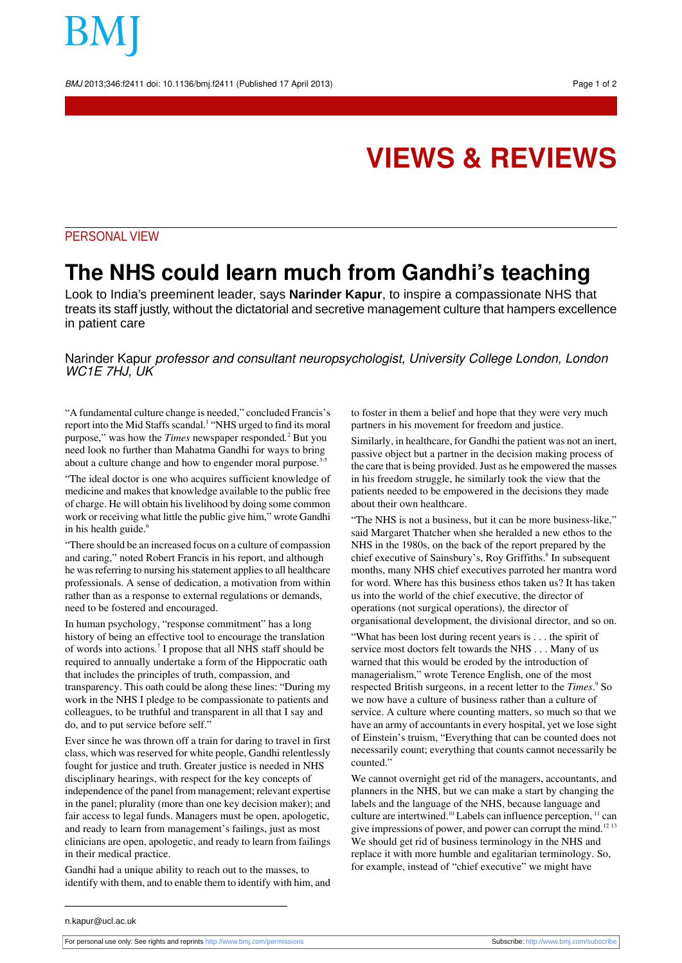BMJ 2013;346:f2411 doi: 10.1136/bmj.f2411 (Published 17 April 2013) Page 1 of 2

# **VIEWS & REVIEWS**

### PERSONAL VIEW

## **The NHS could learn much from Gandhi's teaching**

Look to India's preeminent leader, says **Narinder Kapur**, to inspire a compassionate NHS that treats its staff justly, without the dictatorial and secretive management culture that hampers excellence in patient care

### Narinder Kapur professor and consultant neuropsychologist, University College London, London WC<sub>1</sub>E 7HJ, UK

"A fundamental culture change is needed," concluded Francis's report into the Mid Staffs scandal.<sup>1</sup> "NHS urged to find its moral purpose," was how the *Times* newspaper responded*.* <sup>2</sup> But you need look no further than Mahatma Gandhi for ways to bring about a culture change and how to engender moral purpose.<sup>3</sup>

"The ideal doctor is one who acquires sufficient knowledge of medicine and makes that knowledge available to the public free of charge. He will obtain his livelihood by doing some common work or receiving what little the public give him," wrote Gandhi in his health guide.<sup>6</sup>

"There should be an increased focus on a culture of compassion and caring," noted Robert Francis in his report, and although he was referring to nursing his statement applies to all healthcare professionals. A sense of dedication, a motivation from within rather than as a response to external regulations or demands, need to be fostered and encouraged.

In human psychology, "response commitment" has a long history of being an effective tool to encourage the translation of words into actions.<sup>7</sup> I propose that all NHS staff should be required to annually undertake a form of the Hippocratic oath that includes the principles of truth, compassion, and transparency. This oath could be along these lines: "During my work in the NHS I pledge to be compassionate to patients and colleagues, to be truthful and transparent in all that I say and do, and to put service before self."

Ever since he was thrown off a train for daring to travel in first class, which was reserved for white people, Gandhi relentlessly fought for justice and truth. Greater justice is needed in NHS disciplinary hearings, with respect for the key concepts of independence of the panel from management; relevant expertise in the panel; plurality (more than one key decision maker); and fair access to legal funds. Managers must be open, apologetic, and ready to learn from management's failings, just as most clinicians are open, apologetic, and ready to learn from failings in their medical practice.

Gandhi had a unique ability to reach out to the masses, to identify with them, and to enable them to identify with him, and to foster in them a belief and hope that they were very much partners in his movement for freedom and justice.

Similarly, in healthcare, for Gandhi the patient was not an inert, passive object but a partner in the decision making process of the care that is being provided. Just as he empowered the masses in his freedom struggle, he similarly took the view that the patients needed to be empowered in the decisions they made about their own healthcare.

"The NHS is not a business, but it can be more business-like," said Margaret Thatcher when she heralded a new ethos to the NHS in the 1980s, on the back of the report prepared by the chief executive of Sainsbury's, Roy Griffiths.<sup>8</sup> In subsequent months, many NHS chief executives parroted her mantra word for word. Where has this business ethos taken us? It has taken us into the world of the chief executive, the director of operations (not surgical operations), the director of organisational development, the divisional director, and so on.

"What has been lost during recent years is . . . the spirit of service most doctors felt towards the NHS . . . Many of us warned that this would be eroded by the introduction of managerialism," wrote Terence English, one of the most respected British surgeons, in a recent letter to the *Times*. <sup>9</sup> So we now have a culture of business rather than a culture of service. A culture where counting matters, so much so that we have an army of accountants in every hospital, yet we lose sight of Einstein's truism, "Everything that can be counted does not necessarily count; everything that counts cannot necessarily be counted."

We cannot overnight get rid of the managers, accountants, and planners in the NHS, but we can make a start by changing the labels and the language of the NHS, because language and culture are intertwined.<sup>10</sup> Labels can influence perception, <sup>11</sup> can give impressions of power, and power can corrupt the mind.<sup>12 13</sup> We should get rid of business terminology in the NHS and replace it with more humble and egalitarian terminology. So, for example, instead of "chief executive" we might have

n.kapur@ucl.ac.uk